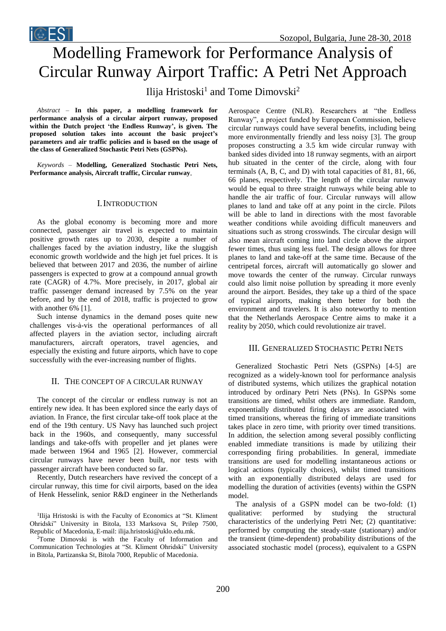# Modelling Framework for Performance Analysis of Circular Runway Airport Traffic: A Petri Net Approach Ilija Hristoski<sup>1</sup> and Tome Dimovski<sup>2</sup>

*Abstract* – **In this paper, a modelling framework for performance analysis of a circular airport runway, proposed within the Dutch project 'the Endless Runway', is given. The proposed solution takes into account the basic project's parameters and air traffic policies and is based on the usage of the class of Generalized Stochastic Petri Nets (GSPNs).**

**i**©EST

*Keywords –* **Modelling, Generalized Stochastic Petri Nets, Performance analysis, Aircraft traffic, Circular runway**.

#### I.INTRODUCTION

As the global economy is becoming more and more connected, passenger air travel is expected to maintain positive growth rates up to 2030, despite a number of challenges faced by the aviation industry, like the sluggish economic growth worldwide and the high jet fuel prices. It is believed that between 2017 and 2036, the number of airline passengers is expected to grow at a compound annual growth rate (CAGR) of 4.7%. More precisely, in 2017, global air traffic passenger demand increased by 7.5% on the year before, and by the end of 2018, traffic is projected to grow with another 6% [1].

Such intense dynamics in the demand poses quite new challenges vis-à-vis the operational performances of all affected players in the aviation sector, including aircraft manufacturers, aircraft operators, travel agencies, and especially the existing and future airports, which have to cope successfully with the ever-increasing number of flights.

# II. THE CONCEPT OF A CIRCULAR RUNWAY

The concept of the circular or endless runway is not an entirely new idea. It has been explored since the early days of aviation. In France, the first circular take-off took place at the end of the 19th century. US Navy has launched such project back in the 1960s, and consequently, many successful landings and take-offs with propeller and jet planes were made between 1964 and 1965 [2]. However, commercial circular runways have never been built, nor tests with passenger aircraft have been conducted so far.

Recently, Dutch researchers have revived the concept of a circular runway, this time for civil airports, based on the idea of Henk Hesselink, senior R&D engineer in the Netherlands

<sup>1</sup>Ilija Hristoski is with the Faculty of Economics at "St. Kliment Ohridski" University in Bitola, 133 Marksova St, Prilep 7500, Republic of Macedonia, E-mail: ilija.hristoski@uklo.edu.mk.

<sup>2</sup>Tome Dimovski is with the Faculty of Information and Communication Technologies at "St. Kliment Ohridski" University in Bitola, Partizanska St, Bitola 7000, Republic of Macedonia.

Aerospace Centre (NLR). Researchers at "the Endless Runway", a project funded by European Commission, believe circular runways could have several benefits, including being more environmentally friendly and less noisy [3]. The group proposes constructing a 3.5 km wide circular runway with banked sides divided into 18 runway segments, with an airport hub situated in the center of the circle, along with four terminals (A, B, C, and D) with total capacities of 81, 81, 66, 66 planes, respectively. The length of the circular runway would be equal to three straight runways while being able to handle the air traffic of four. Circular runways will allow planes to land and take off at any point in the circle. Pilots will be able to land in directions with the most favorable weather conditions while avoiding difficult maneuvers and situations such as strong crosswinds. The circular design will also mean aircraft coming into land circle above the airport fewer times, thus using less fuel. The design allows for three planes to land and take-off at the same time. Because of the centripetal forces, aircraft will automatically go slower and move towards the center of the runway. Circular runways could also limit noise pollution by spreading it more evenly around the airport. Besides, they take up a third of the space of typical airports, making them better for both the environment and travelers. It is also noteworthy to mention that the Netherlands Aerospace Centre aims to make it a reality by 2050, which could revolutionize air travel.

# III. GENERALIZED STOCHASTIC PETRI NETS

Generalized Stochastic Petri Nets (GSPNs) [4-5] are recognized as a widely-known tool for performance analysis of distributed systems, which utilizes the graphical notation introduced by ordinary Petri Nets (PNs). In GSPNs some transitions are timed, whilst others are immediate. Random, exponentially distributed firing delays are associated with timed transitions, whereas the firing of immediate transitions takes place in zero time, with priority over timed transitions. In addition, the selection among several possibly conflicting enabled immediate transitions is made by utilizing their corresponding firing probabilities. In general, immediate transitions are used for modelling instantaneous actions or logical actions (typically choices), whilst timed transitions with an exponentially distributed delays are used for modelling the duration of activities (events) within the GSPN model.

The analysis of a GSPN model can be two-fold: (1) qualitative: performed by studying the structural characteristics of the underlying Petri Net; (2) quantitative: performed by computing the steady-state (stationary) and/or the transient (time-dependent) probability distributions of the associated stochastic model (process), equivalent to a GSPN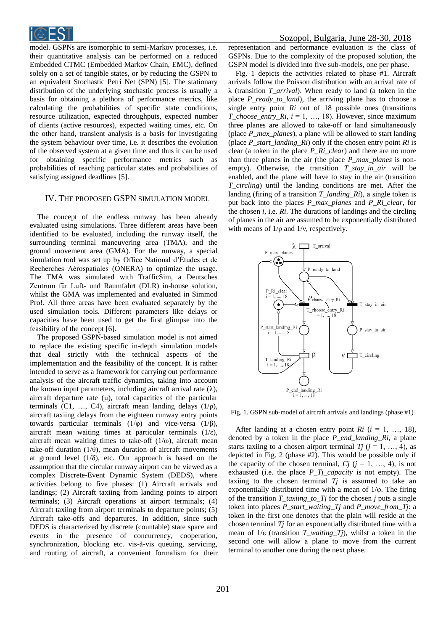

model. GSPNs are isomorphic to semi-Markov processes, i.e. their quantitative analysis can be performed on a reduced Embedded CTMC (Embedded Markov Chain, EMC), defined solely on a set of tangible states, or by reducing the GSPN to an equivalent Stochastic Petri Net (SPN) [5]. The stationary distribution of the underlying stochastic process is usually a basis for obtaining a plethora of performance metrics, like calculating the probabilities of specific state conditions, resource utilization, expected throughputs, expected number of clients (active resources), expected waiting times, etc. On the other hand, transient analysis is a basis for investigating the system behaviour over time, i.e. it describes the evolution of the observed system at a given time and thus it can be used for obtaining specific performance metrics such as probabilities of reaching particular states and probabilities of satisfying assigned deadlines [5].

### IV. THE PROPOSED GSPN SIMULATION MODEL

The concept of the endless runway has been already evaluated using simulations. Three different areas have been identified to be evaluated, including the runway itself, the surrounding terminal maneuvering area (TMA), and the ground movement area (GMA). For the runway, a special simulation tool was set up by Office National d'Études et de Recherches Aérospatiales (ONERA) to optimize the usage. The TMA was simulated with TrafficSim, a Deutsches Zentrum für Luft- und Raumfahrt (DLR) in-house solution, whilst the GMA was implemented and evaluated in Simmod Pro!. All three areas have been evaluated separately by the used simulation tools. Different parameters like delays or capacities have been used to get the first glimpse into the feasibility of the concept [6].

The proposed GSPN-based simulation model is not aimed to replace the existing specific in-depth simulation models that deal strictly with the technical aspects of the implementation and the feasibility of the concept. It is rather intended to serve as a framework for carrying out performance analysis of the aircraft traffic dynamics, taking into account the known input parameters, including aircraft arrival rate  $(\lambda)$ , aircraft departure rate  $(\mu)$ , total capacities of the particular terminals (C1, ..., C4), aircraft mean landing delays  $(1/\rho)$ , aircraft taxiing delays from the eighteen runway entry points towards particular terminals  $(1/\varphi)$  and vice-versa  $(1/\beta)$ , aircraft mean waiting times at particular terminals (1/ε), aircraft mean waiting times to take-off  $(1/\omega)$ , aircraft mean take-off duration ( $1/\theta$ ), mean duration of aircraft movements at ground level  $(1/\delta)$ , etc. Our approach is based on the assumption that the circular runway airport can be viewed as a complex Discrete-Event Dynamic System (DEDS), where activities belong to five phases: (1) Aircraft arrivals and landings; (2) Aircraft taxiing from landing points to airport terminals; (3) Aircraft operations at airport terminals; (4) Aircraft taxiing from airport terminals to departure points; (5) Aircraft take-offs and departures. In addition, since such DEDS is characterized by discrete (countable) state space and events in the presence of concurrency, cooperation, synchronization, blocking etc. vis-à-vis queuing, servicing, and routing of aircraft, a convenient formalism for their

representation and performance evaluation is the class of GSPNs. Due to the complexity of the proposed solution, the GSPN model is divided into five sub-models, one per phase.

Fig. 1 depicts the activities related to phase #1. Aircraft arrivals follow the Poisson distribution with an arrival rate of λ (transition *T\_arrival*). When ready to land (a token in the place *P\_ready\_to\_land*), the arriving plane has to choose a single entry point *Ri* out of 18 possible ones (transitions *T\_choose\_entry\_Ri*, *i* = 1, …, 18). However, since maximum three planes are allowed to take-off or land simultaneously (place *P\_max\_planes*), a plane will be allowed to start landing (place *P\_start\_landing\_Ri*) only if the chosen entry point *Ri* is clear (a token in the place *P\_Ri\_clear*) and there are no more than three planes in the air (the place *P\_max\_planes* is nonempty). Otherwise, the transition *T\_stay\_in\_air* will be enabled, and the plane will have to stay in the air (transition *T\_circling*) until the landing conditions are met. After the landing (firing of a transition *T\_landing\_Ri*), a single token is put back into the places *P\_max\_planes* and *P\_Ri\_clear*, for the chosen *i*, i.e. *Ri*. The durations of landings and the circling of planes in the air are assumed to be exponentially distributed with means of  $1/\rho$  and  $1/\nu$ , respectively.



Fig. 1. GSPN sub-model of aircraft arrivals and landings (phase #1)

After landing at a chosen entry point  $Ri$  ( $i = 1, ..., 18$ ), denoted by a token in the place *P\_end\_landing\_Ri*, a plane starts taxiing to a chosen airport terminal *Tj*  $(j = 1, ..., 4)$ , as depicted in Fig. 2 (phase #2). This would be possible only if the capacity of the chosen terminal,  $Ci$  ( $i = 1, ..., 4$ ), is not exhausted (i.e. the place *P\_Tj\_capacity* is not empty). The taxiing to the chosen terminal  $Tj$  is assumed to take an exponentially distributed time with a mean of 1/φ. The firing of the transition *T\_taxiing\_to\_Tj* for the chosen *j* puts a single token into places *P\_start\_waiting\_Tj* and *P\_move\_from\_Tj*: a token in the first one denotes that the plain will reside at the chosen terminal *Tj* for an exponentially distributed time with a mean of 1/ε (transition *T\_waiting\_Tj*), whilst a token in the second one will allow a plane to move from the current terminal to another one during the next phase.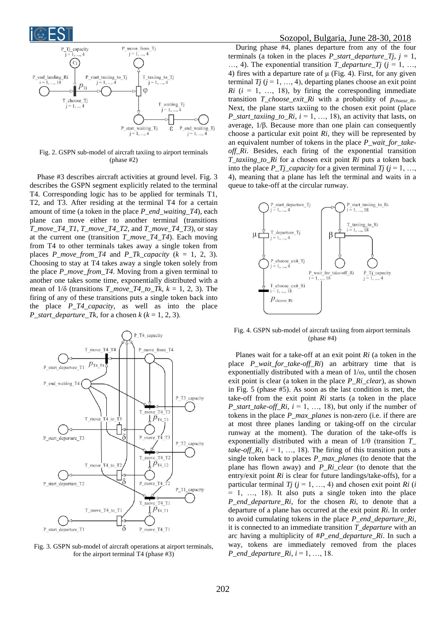



Fig. 2. GSPN sub-model of aircraft taxiing to airport terminals (phase #2)

Phase #3 describes aircraft activities at ground level. Fig. 3 describes the GSPN segment explicitly related to the terminal T4. Corresponding logic has to be applied for terminals T1, T2, and T3. After residing at the terminal T4 for a certain amount of time (a token in the place *P\_end\_waiting\_T4*), each plane can move either to another terminal (transitions *T\_move\_T4\_T1*, *T\_move\_T4\_T2,* and *T\_move\_T4\_T3*), or stay at the current one (transition *T\_move\_T4\_T4*). Each moving from T4 to other terminals takes away a single token from places *P\_move\_from\_T4\_and P\_Tk\_capacity* ( $k = 1, 2, 3$ ). Choosing to stay at T4 takes away a single token solely from the place *P\_move\_from\_T4*. Moving from a given terminal to another one takes some time, exponentially distributed with a mean of  $1/\delta$  (transitions  $T_move\_T4_to_Tk$ ,  $k = 1, 2, 3$ ). The firing of any of these transitions puts a single token back into the place *P\_T4\_capacity*, as well as into the place *P\_start\_departure\_Tk*, for a chosen  $k$  ( $k = 1, 2, 3$ ).



Fig. 3. GSPN sub-model of aircraft operations at airport terminals, for the airport terminal T4 (phase #3)

## Sozopol, Bulgaria, June 28-30, 2018

During phase #4, planes departure from any of the four terminals (a token in the places  $P_{\text{start\_}departure\_Tj}$ ,  $j = 1$ , …, 4). The exponential transition *T\_departure\_Tj* ( $j = 1, ...,$ 4) fires with a departure rate of  $\mu$  (Fig. 4). First, for any given terminal  $T_j$  ( $j = 1, ..., 4$ ), departing planes choose an exit point  $Ri$  ( $i = 1, ..., 18$ ), by firing the corresponding immediate transition *T\_choose\_exit\_Ri* with a probability of *p*<sub>choose Ri</sub>. Next, the plane starts taxiing to the chosen exit point (place *P\_start\_taxiing\_to\_Ri,*  $i = 1, ..., 18$ *), an activity that lasts, on* average, 1/β. Because more than one plain can consequently choose a particular exit point *Ri*, they will be represented by an equivalent number of tokens in the place *P\_wait\_for\_takeoff\_Ri*. Besides, each firing of the exponential transition *T\_taxiing\_to\_Ri* for a chosen exit point *Ri* puts a token back into the place  $P_Tj\_{capacity}$  for a given terminal  $T_j$  ( $j = 1, ...,$ 4), meaning that a plane has left the terminal and waits in a queue to take-off at the circular runway.



Fig. 4. GSPN sub-model of aircraft taxiing from airport terminals (phase #4)

Planes wait for a take-off at an exit point *Ri* (a token in the place *P\_wait\_for\_take-off\_Ri*) an arbitrary time that is exponentially distributed with a mean of  $1/\omega$ , until the chosen exit point is clear (a token in the place *P\_Ri\_clear*), as shown in Fig. 5 (phase #5). As soon as the last condition is met, the take-off from the exit point *Ri* starts (a token in the place *P\_start\_take-off\_Ri*, *i* = 1, …, 18), but only if the number of tokens in the place *P\_max\_planes* is non-zero (i.e. if there are at most three planes landing or taking-off on the circular runway at the moment). The duration of the take-offs is exponentially distributed with a mean of 1/θ (transition *T\_ take-off*  $Ri$ ,  $i = 1, ..., 18$ ). The firing of this transition puts a single token back to places *P\_max\_planes* (to denote that the plane has flown away) and *P\_Ri\_clear* (to denote that the entry/exit point *Ri* is clear for future landings/take-offs), for a particular terminal  $T_j$  ( $j = 1, ..., 4$ ) and chosen exit point  $R_i$  (*i*  $= 1, \ldots, 18$ ). It also puts a single token into the place *P\_end\_departure\_Ri*, for the chosen *Ri*, to denote that a departure of a plane has occurred at the exit point *Ri*. In order to avoid cumulating tokens in the place *P\_end\_departure\_Ri*, it is connected to an immediate transition *T\_departure* with an arc having a multiplicity of #*P\_end\_departure\_Ri*. In such a way, tokens are immediately removed from the places *P\_end\_departure\_Ri*, *i* = 1, …, 18.